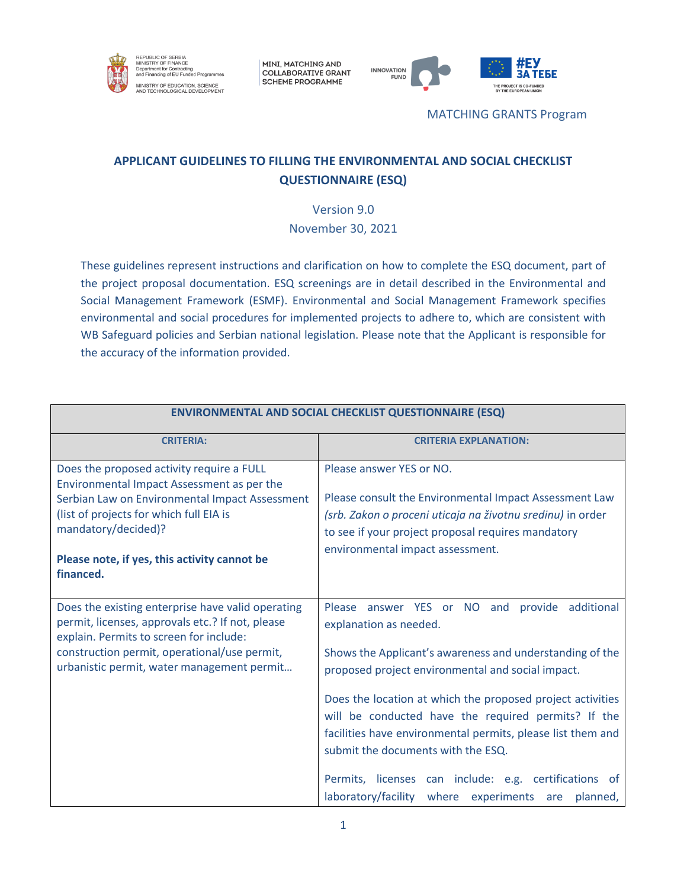

MINI, MATCHING AND **COLLABORATIVE GRANT SCHEME PROGRAMME** 



MATCHING GRANTS Program

# **APPLICANT GUIDELINES TO FILLING THE ENVIRONMENTAL AND SOCIAL CHECKLIST QUESTIONNAIRE (ESQ)**

Version 9.0 November 30, 2021

These guidelines represent instructions and clarification on how to complete the ESQ document, part of the project proposal documentation. ESQ screenings are in detail described in the Environmental and Social Management Framework (ESMF). Environmental and Social Management Framework specifies environmental and social procedures for implemented projects to adhere to, which are consistent with WB Safeguard policies and Serbian national legislation. Please note that the Applicant is responsible for the accuracy of the information provided.

| <b>ENVIRONMENTAL AND SOCIAL CHECKLIST QUESTIONNAIRE (ESQ)</b>                                                                                                                                                                                                            |                                                                                                                                                                                                                                                                                                                                                                                                                                                                                                                                       |
|--------------------------------------------------------------------------------------------------------------------------------------------------------------------------------------------------------------------------------------------------------------------------|---------------------------------------------------------------------------------------------------------------------------------------------------------------------------------------------------------------------------------------------------------------------------------------------------------------------------------------------------------------------------------------------------------------------------------------------------------------------------------------------------------------------------------------|
| <b>CRITERIA:</b>                                                                                                                                                                                                                                                         | <b>CRITERIA EXPLANATION:</b>                                                                                                                                                                                                                                                                                                                                                                                                                                                                                                          |
| Does the proposed activity require a FULL<br>Environmental Impact Assessment as per the<br>Serbian Law on Environmental Impact Assessment<br>(list of projects for which full EIA is<br>mandatory/decided)?<br>Please note, if yes, this activity cannot be<br>financed. | Please answer YES or NO.<br>Please consult the Environmental Impact Assessment Law<br>(srb. Zakon o proceni uticaja na životnu sredinu) in order<br>to see if your project proposal requires mandatory<br>environmental impact assessment.                                                                                                                                                                                                                                                                                            |
| Does the existing enterprise have valid operating<br>permit, licenses, approvals etc.? If not, please<br>explain. Permits to screen for include:<br>construction permit, operational/use permit,<br>urbanistic permit, water management permit                           | Please answer YES or NO and<br>provide additional<br>explanation as needed.<br>Shows the Applicant's awareness and understanding of the<br>proposed project environmental and social impact.<br>Does the location at which the proposed project activities<br>will be conducted have the required permits? If the<br>facilities have environmental permits, please list them and<br>submit the documents with the ESQ.<br>Permits, licenses can include: e.g. certifications of<br>laboratory/facility where experiments are planned, |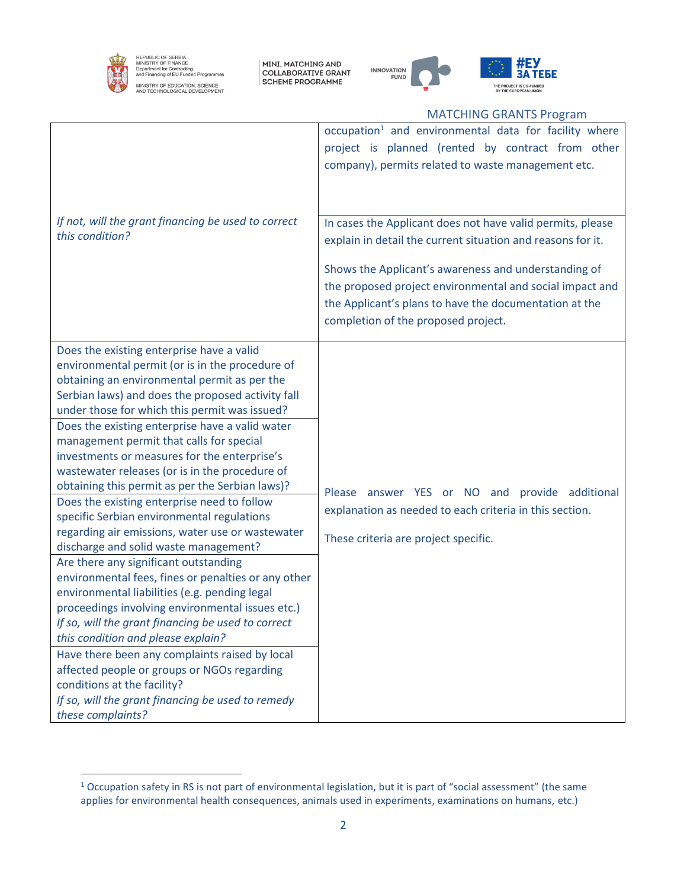

REPUBLIC OF SERBIA<br>MINISTRY OF FINANCE<br>Department for Contracting<br>and Financing of EU Funded Programmes MINISTRY OF EDUCATION, SCIENCE<br>AND TECHNOLOGICAL DEVELOPMENT

MINI, MATCHING AND<br>COLLABORATIVE GRANT<br>SCHEME PROGRAMME





#### MATCHING GRANTS Program

| If not, will the grant financing be used to correct<br>this condition?                                                                                                                                                                                                                                                                                                                                                                                                                                                                                                                                                                                                                                                                                                                                                                                                                                                                                                                                                                                                                                                                                                                                      | occupation <sup>1</sup> and environmental data for facility where<br>project is planned (rented by contract from other<br>company), permits related to waste management etc.<br>In cases the Applicant does not have valid permits, please<br>explain in detail the current situation and reasons for it.<br>Shows the Applicant's awareness and understanding of |
|-------------------------------------------------------------------------------------------------------------------------------------------------------------------------------------------------------------------------------------------------------------------------------------------------------------------------------------------------------------------------------------------------------------------------------------------------------------------------------------------------------------------------------------------------------------------------------------------------------------------------------------------------------------------------------------------------------------------------------------------------------------------------------------------------------------------------------------------------------------------------------------------------------------------------------------------------------------------------------------------------------------------------------------------------------------------------------------------------------------------------------------------------------------------------------------------------------------|-------------------------------------------------------------------------------------------------------------------------------------------------------------------------------------------------------------------------------------------------------------------------------------------------------------------------------------------------------------------|
|                                                                                                                                                                                                                                                                                                                                                                                                                                                                                                                                                                                                                                                                                                                                                                                                                                                                                                                                                                                                                                                                                                                                                                                                             | the proposed project environmental and social impact and<br>the Applicant's plans to have the documentation at the<br>completion of the proposed project.                                                                                                                                                                                                         |
| Does the existing enterprise have a valid<br>environmental permit (or is in the procedure of<br>obtaining an environmental permit as per the<br>Serbian laws) and does the proposed activity fall<br>under those for which this permit was issued?<br>Does the existing enterprise have a valid water<br>management permit that calls for special<br>investments or measures for the enterprise's<br>wastewater releases (or is in the procedure of<br>obtaining this permit as per the Serbian laws)?<br>Does the existing enterprise need to follow<br>specific Serbian environmental regulations<br>regarding air emissions, water use or wastewater<br>discharge and solid waste management?<br>Are there any significant outstanding<br>environmental fees, fines or penalties or any other<br>environmental liabilities (e.g. pending legal<br>proceedings involving environmental issues etc.)<br>If so, will the grant financing be used to correct<br>this condition and please explain?<br>Have there been any complaints raised by local<br>affected people or groups or NGOs regarding<br>conditions at the facility?<br>If so, will the grant financing be used to remedy<br>these complaints? | Please answer YES or NO and provide additional<br>explanation as needed to each criteria in this section.<br>These criteria are project specific.                                                                                                                                                                                                                 |

<sup>&</sup>lt;sup>1</sup> Occupation safety in RS is not part of environmental legislation, but it is part of "social assessment" (the same applies for environmental health consequences, animals used in experiments, examinations on humans, etc.)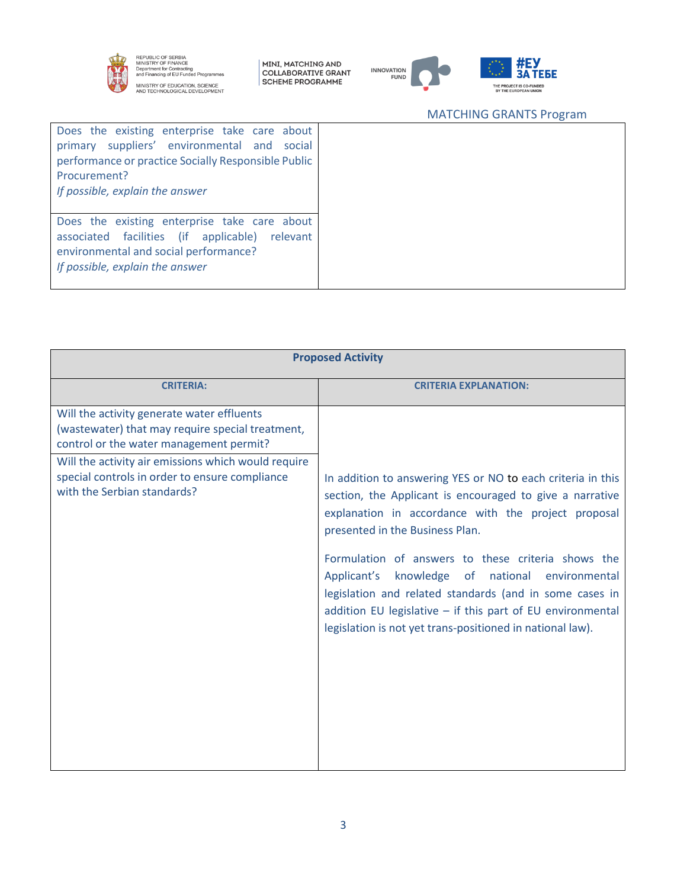

REPUBLIC OF SERBIA<br>MINISTRY OF FINANCE<br>Department for Contracting<br>and Financing of EU Funded Programmes MINISTRY OF EDUCATION, SCIENCE<br>AND TECHNOLOGICAL DEVELOPMENT

MINI, MATCHING AND<br>COLLABORATIVE GRANT<br>SCHEME PROGRAMME



## MATCHING GRANTS Program

| Does the existing enterprise take care about<br>primary suppliers' environmental and<br>social<br>performance or practice Socially Responsible Public<br>Procurement?<br>If possible, explain the answer |
|----------------------------------------------------------------------------------------------------------------------------------------------------------------------------------------------------------|
| Does the existing enterprise take care about<br>associated facilities (if applicable)<br>relevant<br>environmental and social performance?<br>If possible, explain the answer                            |

| <b>Proposed Activity</b>                                                                                                                  |                                                                                                                                                                                                                                                                                                                                                                                                                                                                                                                     |  |
|-------------------------------------------------------------------------------------------------------------------------------------------|---------------------------------------------------------------------------------------------------------------------------------------------------------------------------------------------------------------------------------------------------------------------------------------------------------------------------------------------------------------------------------------------------------------------------------------------------------------------------------------------------------------------|--|
| <b>CRITERIA:</b>                                                                                                                          | <b>CRITERIA EXPLANATION:</b>                                                                                                                                                                                                                                                                                                                                                                                                                                                                                        |  |
| Will the activity generate water effluents<br>(wastewater) that may require special treatment,<br>control or the water management permit? |                                                                                                                                                                                                                                                                                                                                                                                                                                                                                                                     |  |
| Will the activity air emissions which would require<br>special controls in order to ensure compliance<br>with the Serbian standards?      | In addition to answering YES or NO to each criteria in this<br>section, the Applicant is encouraged to give a narrative<br>explanation in accordance with the project proposal<br>presented in the Business Plan.<br>Formulation of answers to these criteria shows the<br>knowledge of national environmental<br>Applicant's<br>legislation and related standards (and in some cases in<br>addition EU legislative - if this part of EU environmental<br>legislation is not yet trans-positioned in national law). |  |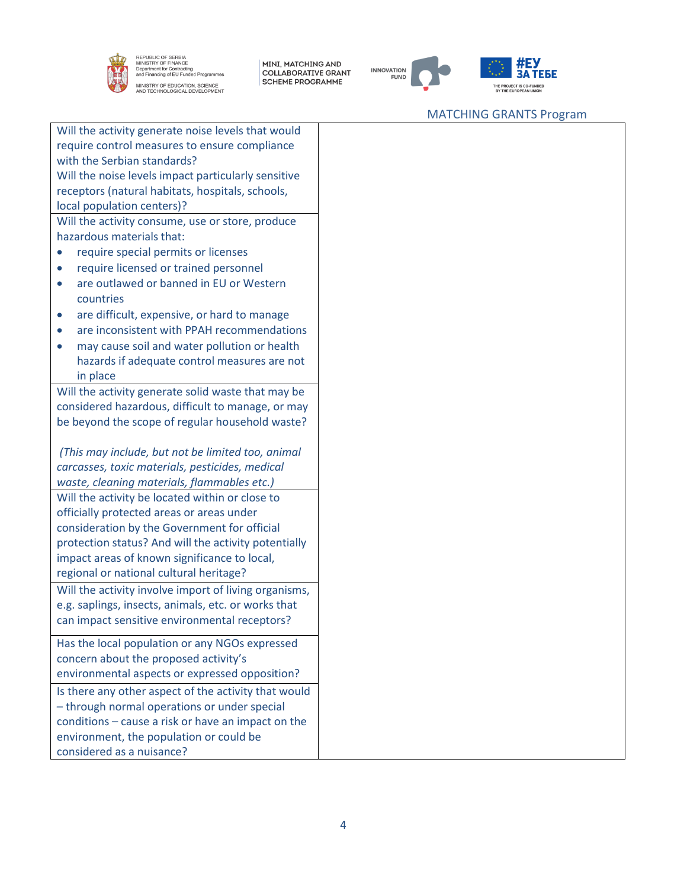

REPUBLIC OF SERBIA<br>MINISTRY OF FINANCE<br>Department for Contracting<br>and Financing of EU Funded Programmes MINISTRY OF EDUCATION, SCIENCE<br>AND TECHNOLOGICAL DEVELOPMENT

| MINI, MATCHING AND<br>| COLLABORATIVE GRANT<br>| SCHEME PROGRAMME





### MATCHING GRANTS Program